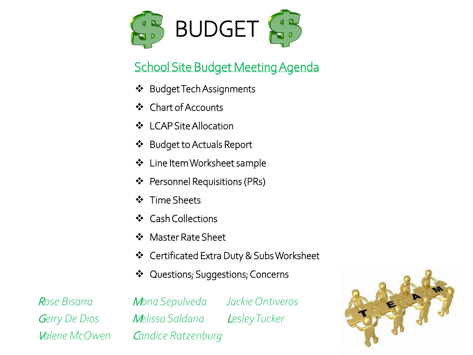

#### School Site Budget Meeting Agenda

- **❖** Budget Tech Assignments
- Chart of Accounts
- LCAP Site Allocation
- Budget to Actuals Report
- **❖** Line Item Worksheet sample
- ❖ Personnel Requisitions (PRs)
- ❖ Time Sheets
- ❖ Cash Collections
- ❖ Master Rate Sheet
- Certificated Extra Duty & Subs Worksheet
- ❖ Questions; Suggestions; Concerns

<sup>R</sup>*ose Bisarra* <sup>M</sup>*ona Sepulveda Jackie Ontiveros* <sup>G</sup>*erry De Dios* <sup>M</sup>*elissa Saldana* <sup>L</sup>*esley Tucker* <sup>V</sup>*alerie McOwen* <sup>C</sup>*andice Ratzenburg*

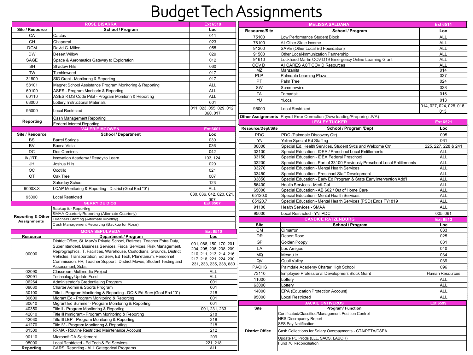### Budget Tech Assignments

|                              | <b>ROSE BISARRA</b>                                                       | <b>Ext 6518</b>          |                        | <b>Ext 6514</b>                                                           |                          |
|------------------------------|---------------------------------------------------------------------------|--------------------------|------------------------|---------------------------------------------------------------------------|--------------------------|
| Site / Resource              | School / Program                                                          | Loc                      | <b>Resource/Site</b>   | School / Program                                                          | Loc                      |
| CA                           | Cactus                                                                    | 011                      | 75100                  | Low Performance Student Block                                             | <b>ALL</b>               |
| CH                           | Chaparral                                                                 | 023                      | 78100                  | All Other State Income                                                    | ALL                      |
| <b>DGM</b>                   | David G. Millen                                                           | 055                      | 91200                  | SAVE (Other Local Ed Foundation)                                          | <b>ALL</b>               |
|                              |                                                                           |                          |                        |                                                                           |                          |
| <b>DW</b>                    | <b>Desert Willow</b>                                                      | 029                      | 91500                  | Other Local-Immunization Partnership                                      | ALL                      |
| SAGE                         | Space & Aeronautics Gateway to Exploration                                | 012                      | 91610                  | _ockheed Martin COVID19 Emergency Online Learning Grant                   | <b>ALL</b>               |
| <b>SH</b>                    | Shadow Hills                                                              | 060                      | COVID                  | All CARES ACT COVID Resources                                             | ALL                      |
| <b>TW</b>                    | Tumbleweed                                                                | 017                      | <b>MZ</b>              | Manzanita                                                                 | 014                      |
| 31800                        | SIG Grant - Monitoring & Reporting                                        | 017                      | PLP                    | Palmdale Learning Plaza                                                   | 027                      |
| 58101                        | Magnet School Assistance Program Monitoring & Reporting                   | ALL                      | PT                     | Palm Tree                                                                 | 024                      |
| 60100                        | ASES - Program Monitorin & Reporting                                      | <b>ALL</b>               | SW                     | Summerwind                                                                | 028                      |
| 60110                        | ASES KIDS Code Pilot - Program Monitorin & Reporting                      | <b>ALL</b>               | <b>TA</b>              | Tamarisk                                                                  | 016                      |
|                              |                                                                           |                          | YU                     | Yucca                                                                     | 013                      |
| 63000                        | Lottery: Instructional Materials                                          | 001                      |                        |                                                                           | 014, 027, 024, 028, 016, |
| 95000                        | <b>Local Restricted</b>                                                   | 011, 023, 055, 029, 012, | 95000                  | <b>Local Restricted</b>                                                   | 013                      |
|                              |                                                                           | 060, 017                 |                        | Other Assignments   Payroll Error Correction (Downloading/Preparing JVA)  |                          |
| Reporting                    | Cash Management Reporting                                                 |                          |                        | <b>LESLEY TUCKER</b>                                                      | <b>Ext 6521</b>          |
|                              | <b>Federal Interest Reporting</b><br><b>VALERIE MCOWEN</b>                |                          | Resource/Dept/Site     | School / Program /Dept                                                    | Loc                      |
|                              |                                                                           | Ext 660                  |                        |                                                                           |                          |
| Site / Resource              | <b>School / Department</b>                                                | Loc                      | PDC                    | PDC (Palmdale Discovery Ctr)                                              | 005                      |
| <b>BS</b>                    | <b>Barrel Springs</b>                                                     | 030                      | YN                     | Yellen Special Ed Staffing                                                | 061                      |
| <b>BV</b>                    | <b>Buena Vista</b>                                                        | 036                      | 00000                  | Special Ed, Health Services, Student Svcs and Welcome Ctr                 | 225, 227, 228 & 241      |
| <b>DC</b>                    | Dos Caminos                                                               | 042                      | 33100                  | Special Education - IDEA / Preschool Local Entitlements                   | <b>ALL</b>               |
| IA / RTL                     | Innovation Academy / Ready to Learn                                       | 103, 124                 | 33150                  | Special Education - IDEA Federal Preschool                                | <b>ALL</b>               |
| <b>JH</b>                    | Joshua Hills                                                              | 020                      | 33200                  | Special Education - Part of 33100 Previously Preschool Local Entitlements | <b>ALL</b>               |
| <b>OC</b>                    | Ocotillo                                                                  | 021                      | 33270                  | Special Education - Mental Health Services                                | ALL                      |
| OT                           | Oak Tree                                                                  | 007                      | 33450                  | Special Education - Preschool Staff Development                           | <b>ALL</b>               |
|                              |                                                                           |                          | 33850                  | Special Education - Early Ed Program & State Early Intervention Add'l     | <b>ALL</b>               |
|                              | Saturday School                                                           | 123                      | 56400                  | Health Services - Medi-Cal                                                | <b>ALL</b>               |
| 9000X.X                      | LCAP Monitoring & Reporting - District (Goal End "0")                     | ALL                      | 65000                  | Special Education - AB 602 / Out of Home Care                             | <b>ALL</b>               |
| 95000                        | <b>Local Restricted</b>                                                   | 030, 036, 042, 020, 021, | 65120.0                | Special Education - Mental Health Services                                | <b>ALL</b>               |
|                              | <b>GERRY DE DIOS</b>                                                      | 007<br>Ext 6507          | 65120.7                | Special Education - Mental Health Services (PSD) Ends FY1819              | <b>ALL</b>               |
|                              | Backup for Reporting                                                      |                          | 91100                  | <b>Health Services - SMAA</b>                                             | <b>ALL</b>               |
|                              | SMAA Quarterly Reporting (Alternate Quarterly)                            |                          | 95000                  | Local Restricted - YN, PDC                                                | 005, 061                 |
| <b>Reporting &amp; Other</b> | Teachers Staffing (Alternate Monthly)                                     |                          |                        | <b>CANDICE RATZENBURG</b>                                                 | Ext 651                  |
| <b>Assignments</b>           | Cash Management Reporting (Backup for Rose)                               |                          | Site                   | School / Program                                                          | Loc                      |
|                              |                                                                           |                          | CM                     | Cimarron                                                                  | 033                      |
| Resource                     | Department / Program                                                      | Ext 6510<br>Loc          | DR                     | <b>Desert Rose</b>                                                        | 025                      |
|                              | District Office, St. Mary's Private School, Retirees, Teacher Extra Duty, |                          | GP                     | Golden Poppy                                                              | 031                      |
|                              | Superintendent, Business Services, Fiscal Services, Risk Management,      | 001, 088, 150, 170, 201  |                        |                                                                           |                          |
|                              | Reprographics, IT, Facilities, Warehouse, Custodians, Grounds, District   | 204, 205, 206, 208, 209, | LA                     | Los Amigos                                                                | 040                      |
| 00000                        | Vehicles, Transportation, Ed Serv, Ed Tech, Planetarium, Personnel        | 210, 211, 213, 214, 216, | MQ                     | Mesquite                                                                  | 034                      |
|                              | Commission, HR, Teacher Support, District Moves, Student Testing and      | 217, 218, 221, 224, 230, | QV                     | <b>Quail Vallev</b>                                                       | 039                      |
|                              | Assessment, Subs                                                          | 231, 233, 235, 238, 680  | <b>PACHS</b>           | Palmdale Academy Charter High School                                      | 096                      |
| 02090                        | Classroom Multimedia Project                                              | <b>ALL</b>               | 73110                  | Employee Professional Development Block Grant                             | Human Resources          |
| 02091                        | Technology Update Fund                                                    | ALL                      | 11000                  | Lottery                                                                   | <b>ALL</b>               |
| 06264                        | Administrator's Credentialing Program                                     | 001                      | 63000                  | Lotterv                                                                   | <b>ALL</b>               |
| 09030                        | Charter Admin & Sports Program                                            | 001                      | 14000                  | EPA (Education Protection Account)                                        | <b>ALL</b>               |
| 30100                        | Title I - Program Monitoring & Reporting - DO & Ed Serv (Goal End "0")    | 218                      |                        |                                                                           |                          |
| 30600                        | Migrant Ed - Program Monitoring & Reporting                               | 001                      | 95000                  | <b>Local Restricted</b>                                                   | <b>ALL</b>               |
| 30610                        | Migrant Ed Summer - Program Monitoring & Reporting                        | 001                      |                        | <b>JACKIE ONTIVEROS</b>                                                   | <b>Ext 6599</b>          |
| 40350                        | Title II - Program Monitoring & Reporting                                 | 001, 231, 233            | Site                   | Program/ Function                                                         |                          |
| 42010                        | Title III Immigrant - Program Monitoring & Reporting                      | 218                      |                        | Certificated/Classified/Management Position Control                       |                          |
| 42030                        | Title III LEP - Program Monitoring & Reporting                            | 218                      |                        | <b>HRS Discrepancy Report</b>                                             |                          |
| 41270                        | Title IV - Program Monitoring & Reporting                                 | 218                      |                        | <b>SFS Pay Notification</b>                                               |                          |
| 81500                        | RRMA - Routine Restricted Maintenance Account                             | 212                      | <b>District Office</b> | Cash Collections for Salary Overpayments - CTA/PETA/CSEA                  |                          |
| 90110                        | Microsoft CA Settlement                                                   | 209                      |                        | Update PC Prods (LLL, SACS, LABOR)                                        |                          |
| 95000                        | Local Restricted - Ed Tech & Ed Services                                  | 221.218                  |                        | Fund 76 Reconciliation                                                    |                          |
| Reporting                    | CARS Reporting - ALL Categorical Programs                                 | <b>ALL</b>               |                        |                                                                           |                          |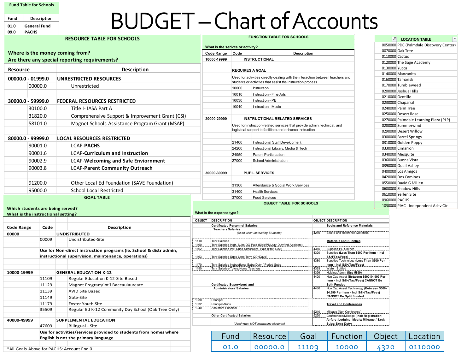**Fund Table for Schools**

**Fund Description 01.0 General Fund 09.0 PACHS**

## BUDGET –Chart of Accounts

|                                    |         | <b>RESOURCE TABLE FOR SCHOOLS</b>                                  |              |                                                                    |                | <b>FUNCTION TABLE FOR SCHOOLS</b>                                                                                            |              |                                                            | E<br>$\sqrt{1}$ LOCATION TABLE           |
|------------------------------------|---------|--------------------------------------------------------------------|--------------|--------------------------------------------------------------------|----------------|------------------------------------------------------------------------------------------------------------------------------|--------------|------------------------------------------------------------|------------------------------------------|
|                                    |         |                                                                    |              | What is the serivce or activity?                                   |                |                                                                                                                              |              |                                                            | 0050000 PDC (Palmdale Discovery Center)  |
| Where is the money coming from?    |         |                                                                    |              | <b>Code Range</b>                                                  | Code           | <b>Description</b>                                                                                                           |              |                                                            | 0070000 Oak Tree                         |
|                                    |         | Are there any special reporting requirements?                      |              | 10000-19999                                                        |                | <b>INSTRUCTIONAL</b>                                                                                                         |              |                                                            | 0110000 Cactus                           |
|                                    |         |                                                                    |              |                                                                    |                |                                                                                                                              |              |                                                            | 0120000 The Sage Academy                 |
| <b>Resource</b>                    |         | <b>Description</b>                                                 |              |                                                                    |                | <b>REQUIRES A GOAL</b>                                                                                                       |              |                                                            | 0130000 Yucca<br>0140000 Manzanita       |
| 00000.0 - 01999.0                  |         | <b>UNRESTRICTED RESOURCES</b>                                      |              |                                                                    |                | Used for activities directly dealing with the interaction between teachers and                                               |              |                                                            | 0160000 Tamarisk                         |
|                                    | 00000.0 | Unrestricted                                                       |              |                                                                    |                | students or activities that assist the instruction process                                                                   |              |                                                            | 0170000 Tumbleweed                       |
|                                    |         |                                                                    |              |                                                                    | 10000          | Instruction                                                                                                                  |              |                                                            | 0200000 Joshua Hills                     |
|                                    |         |                                                                    |              |                                                                    | 10010          | Instruction - Fine Arts                                                                                                      |              |                                                            | 0210000 Ocotillo                         |
| 30000.0 - 59999.0                  |         | <b>FEDERAL RESOURCES RESTRICTED</b>                                |              |                                                                    | 10030          | Instruction - PE                                                                                                             |              |                                                            | 0230000 Chaparral                        |
|                                    | 30100.0 | Title I- IASA Part A                                               |              |                                                                    | 10040          | <b>Instruction - Music</b>                                                                                                   |              |                                                            | 0240000 Palm Tree                        |
|                                    | 31820.0 | Comprehensive Support & Improvement Grant (CSI)                    |              |                                                                    |                |                                                                                                                              |              |                                                            | 0250000 Desert Rose                      |
|                                    | 58101.0 | Magnet Schools Assistance Program Grant (MSAP)                     |              | 20000-29999                                                        |                | <b>INSTRUCTIONAL RELATED SERVICES</b>                                                                                        |              |                                                            | 0270000 Palmdale Learning Plaza (PLP)    |
|                                    |         |                                                                    |              |                                                                    |                | Used for instruction-related services that provide admin, technical, and                                                     |              |                                                            | 0280000 Summerwind                       |
|                                    |         |                                                                    |              |                                                                    |                | logistical support to facilitate and enhance instruction                                                                     |              |                                                            | 0290000 Desert Willow                    |
| 80000.0 - 99999.0                  |         | <b>LOCAL RESOURCES RESTRICTED</b>                                  |              |                                                                    |                |                                                                                                                              |              |                                                            | 0300000 Barrel Springs                   |
|                                    | 90001.0 | <b>LCAP-PACHS</b>                                                  |              |                                                                    | 21400<br>24200 | Instructional Staff Development                                                                                              |              |                                                            | 0310000 Golden Poppy<br>0330000 Cimarron |
|                                    | 90001.6 | <b>LCAP-Curriculum and Instruction</b>                             |              |                                                                    | 24950          | Instructional Library, Media & Tech<br><b>Parent Participation</b>                                                           |              |                                                            | 0340000 Mesquite                         |
|                                    | 90002.9 | <b>LCAP-Welcoming and Safe Enviornment</b>                         |              |                                                                    | 27000          | School Administration                                                                                                        |              |                                                            | 0360000 Buena Vista                      |
|                                    |         |                                                                    |              |                                                                    |                |                                                                                                                              |              |                                                            | 0390000 Quail Valley                     |
|                                    | 90003.8 | <b>LCAP-Parent Community Outreach</b>                              |              | 30000-39999                                                        |                | <b>PUPIL SERVICES</b>                                                                                                        |              |                                                            | 0400000 Los Amigos                       |
|                                    |         |                                                                    |              |                                                                    |                |                                                                                                                              |              |                                                            | 0420000 Dos Caminos                      |
|                                    | 91200.0 | Other Local Ed Foundation (SAVE Foundation)                        |              |                                                                    | 31300          | Attendance & Social Work Services                                                                                            |              |                                                            | 0550000 David G Millen                   |
|                                    | 95000.0 | School Local Restricted                                            |              |                                                                    | 31400          | <b>Health Services</b>                                                                                                       |              |                                                            | 0600000 Shadow Hills                     |
|                                    |         | <b>GOAL TABLE</b>                                                  |              |                                                                    | 37000          | <b>Food Services</b>                                                                                                         |              |                                                            | 0610000 Yellen Site                      |
|                                    |         |                                                                    |              |                                                                    |                | <b>OBJECT TABLE FOR SCHOOLS</b>                                                                                              |              |                                                            | 0960000 PACHS                            |
| Which students are being served?   |         |                                                                    |              |                                                                    |                |                                                                                                                              |              |                                                            | 1030000 PIAC - Independent Achv Ctr      |
| What is the instructional setting? |         |                                                                    |              | What is the expense type?                                          |                |                                                                                                                              |              |                                                            |                                          |
|                                    |         |                                                                    |              | OBJECT DESCRIPTION                                                 |                |                                                                                                                              |              | <b>OBJECT DESCRIPTION</b>                                  |                                          |
| <b>Code Range</b>                  | Code    | Description                                                        |              | <b>Certificated Personnel Salaries</b><br><b>Teachers Salaries</b> |                |                                                                                                                              |              | <b>Books and Reference Materials</b>                       |                                          |
| 00000                              |         | <b>UNDISTRIBUTED</b>                                               |              |                                                                    |                | (Used when Instructing Students)                                                                                             | 4210         | Books and Reference Materials                              |                                          |
|                                    | 00009   | Undistributed-Site                                                 | 1110         | <b>Tchr Salaries</b>                                               |                |                                                                                                                              |              | <b>Materials and Supplies</b>                              |                                          |
|                                    |         |                                                                    | 1160<br>1162 |                                                                    |                | Tchr Salaries-Instr. Subs-DO Paid (Sick/PN/Jury Duty/Ind.Accident)<br>Tchr Salaries-Intr. Subs-Sites/Dept. Paid (Prof. Dev.) | 4315         | Supplies-PE Clothes                                        |                                          |
|                                    |         | Use for Non-direct instruction programs (ie. School & distr admin, |              |                                                                    |                |                                                                                                                              | 4320         | Supplies (Less Than \$500 Per Item - Incl                  |                                          |
|                                    |         | instructional supervision, maintenance, operations)                | 1163         | Tchr Salaries-Subs-Long Term (20+Days)                             |                |                                                                                                                              | 4380         | S&H/Tax/Fees)<br>Supplies-Technology (Less Than \$500 Per  |                                          |
|                                    |         |                                                                    | 1170         |                                                                    |                | Tchr Salaries-Instructional Extra Duty / Period Subs                                                                         |              | Item - Incl S&H/Tax/Fees)                                  |                                          |
| 10000-19999                        |         | <b>GENERAL EDUCATION K-12</b>                                      | 1190         | Tchr Salaries-Tutors/Home Teachers                                 |                |                                                                                                                              | 4393<br>4399 | Water, Bottled<br>Holding-Admin (Use 5899)                 |                                          |
|                                    | 11109   | Regular Education K-12-Site Based                                  |              |                                                                    |                |                                                                                                                              | 4420         | Non Cap Asset (Between \$500-\$4,999 Per                   |                                          |
|                                    | 11129   | Magnet Program/Int'l Baccaulaureate                                |              | <b>Certificated Supervisors' and</b>                               |                |                                                                                                                              |              | Item - Incl S&H/Tax/Fees) CANNOT Be<br><b>Split Funded</b> |                                          |

**Certificated Supervisors' and**

**Other Certificated Salaries** 

Assistant Principal

1332 Principal-Subs **Travel and Conferences**

*(Used when NOT instructing students)*

1330 Principal<br>1332 Principal-Subs

| Fund: | l Resource l | Goal  | Function   Object   Location |      |              |
|-------|--------------|-------|------------------------------|------|--------------|
| 01.0  | 00000.0      | 11109 | 10000                        | 4320 | $'$ 0110000. |

**Administrators' Salaries** 4480 Non Cap Asset Technology **(Between \$500- \$4,999 Per Item - Incl S&H/Tax/Fees) CANNOT Be Split Funded**

5210 Mileage (Non Conference) Conferences/Mileage **(Incl: Registration;** 

**Subs; Extra Duty)**

**Airfare; Lodging; Meals; Mileage / Excl:** 

\*All Goals Above for PACHS: Account End 0

11129 Magnet Program/Int'l Baccaulaureate

35509 Regular Ed K-12 Community Day School (Oak Tree Only)

**Use for activities/services provided to students from homes where** 

11139 AVID Site Based 11149 Gate-Site 11179 Foster Youth-Site

**English is not the primary language**

**40000-49999 SUPPLEMENTAL EDUCATION** 47609 Bilingual - Site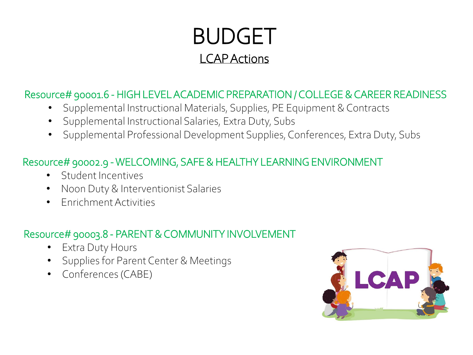### BUDGET LCAP Actions

#### Resource# 90001.6 - HIGH LEVEL ACADEMIC PREPARATION / COLLEGE & CAREER READINESS

- Supplemental Instructional Materials, Supplies, PE Equipment & Contracts
- Supplemental Instructional Salaries, Extra Duty, Subs
- Supplemental Professional Development Supplies, Conferences, Extra Duty, Subs

#### Resource# 90002.9 -WELCOMING, SAFE & HEALTHY LEARNING ENVIRONMENT

- Student Incentives
- Noon Duty & Interventionist Salaries
- Enrichment Activities

#### Resource# 90003.8 - PARENT & COMMUNITY INVOLVEMENT

- Extra Duty Hours
- Supplies for Parent Center & Meetings
- Conferences (CABE)

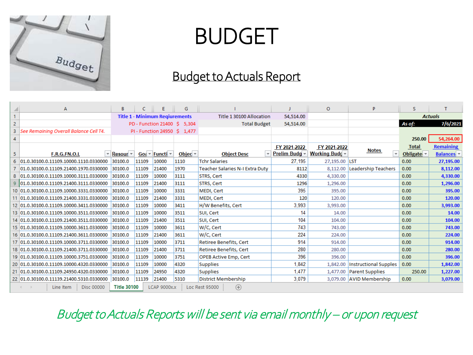

## BUDGET

#### Budget to Actuals Report

|                         | А                                        | B                                                        | c     | Ε                                                          | G                              |                                                |               | $\circ$               | P                                 | s                                 |                   |
|-------------------------|------------------------------------------|----------------------------------------------------------|-------|------------------------------------------------------------|--------------------------------|------------------------------------------------|---------------|-----------------------|-----------------------------------|-----------------------------------|-------------------|
|                         |                                          |                                                          |       | <b>Title 1 - Minimum Regiurements</b>                      |                                | Title 1 30100 Allocation                       | 54.514.00     |                       |                                   |                                   | <b>Actuals</b>    |
| $\overline{2}$          |                                          |                                                          |       |                                                            | PD - Function 21400 \$ 5,304   | <b>Total Budget</b>                            | 54,514.00     |                       |                                   | As of:                            | 7/6/2021          |
| $\overline{\mathbf{3}}$ | See Remaining Overall Balance Cell T4.   |                                                          |       |                                                            | PI - Function 24950 \$ 1,477   |                                                |               |                       |                                   |                                   |                   |
| $\overline{4}$          |                                          |                                                          |       |                                                            |                                |                                                |               |                       |                                   | 250.00                            | 54,264.00         |
|                         |                                          |                                                          |       |                                                            |                                |                                                | FY 2021-2022  | FY 2021-2022          |                                   | <b>Total</b>                      | <b>Remaining</b>  |
| 5                       | F.R.G.FN.O.L                             | $\overline{\phantom{a}}$ Resour $\overline{\phantom{a}}$ |       | Goa $\overline{\mathbf{v}}$ Functi $\overline{\mathbf{v}}$ | Objec $\overline{\phantom{a}}$ | $\overline{\phantom{a}}$<br><b>Object Desc</b> | Prelim Budg ~ | <b>Working Budc</b> - | Notes<br>$\overline{\phantom{a}}$ | Obligate $\overline{\phantom{a}}$ | <b>Balances</b> v |
| 6                       | 01.0.30100.0.11109.10000.1110.0330000    | 30100.0                                                  | 11109 | 10000                                                      | 1110                           | <b>Tchr Salaries</b>                           | 27,195        | 27,195.00 LST         |                                   | 0.00                              | 27,195.00         |
|                         | 01.0.30100.0.11109.21400.1970.0330000    | 30100.0                                                  | 11109 | 21400                                                      | 1970                           | <b>Teacher Salaries N-I Extra Duty</b>         | 8112          | 8,112.00              | Leadership Teachers               | 0.00                              | 8,112.00          |
| -8                      | 01.0.30100.0.11109.10000.3111.0330000    | 30100.0                                                  | 11109 | 10000                                                      | 3111                           | STRS, Cert                                     | 4330          | 4,330.00              |                                   | 0.00                              | 4,330.00          |
|                         | 9 01.0.30100.0.11109.21400.3111.0330000  | 30100.0                                                  | 11109 | 21400                                                      | 3111                           | STRS, Cert                                     | 1296          | 1,296.00              |                                   | 0.00                              | 1,296.00          |
|                         | 10 01.0.30100.0.11109.10000.3331.0330000 | 30100.0                                                  | 11109 | 10000                                                      | 3331                           | <b>MEDI, Cert</b>                              | 395           | 395.00                |                                   | 0.00                              | 395.00            |
| 11                      | 01.0.30100.0.11109.21400.3331.0330000    | 30100.0                                                  | 11109 | 21400                                                      | 3331                           | MEDI, Cert                                     | 120           | 120.00                |                                   | 0.00                              | 120.00            |
|                         | 12 01.0.30100.0.11109.10000.3411.0330000 | 30100.0                                                  | 11109 | 10000                                                      | 3411                           | H/W Benefits, Cert                             | 3,993         | 3.993.00              |                                   | 0.00                              | 3,993.00          |
|                         | 13 01.0.30100.0.11109.10000.3511.0330000 | 30100.0                                                  | 11109 | 10000                                                      | 3511                           | SUI, Cert                                      | 14            | 14.00                 |                                   | 0.00                              | 14.00             |
|                         | 14 01.0.30100.0.11109.21400.3511.0330000 | 30100.0                                                  | 11109 | 21400                                                      | 3511                           | SUI, Cert                                      | 104           | 104.00                |                                   | 0.00                              | 104.00            |
|                         | 15 01.0.30100.0.11109.10000.3611.0330000 | 30100.0                                                  | 11109 | 10000                                                      | 3611                           | W/C, Cert                                      | 743           | 743.00                |                                   | 0.00                              | 743.00            |
|                         | 16 01.0.30100.0.11109.21400.3611.0330000 | 30100.0                                                  | 11109 | 21400                                                      | 3611                           | W/C, Cert                                      | 224           | 224.00                |                                   | 0.00                              | 224.00            |
|                         | 17 01.0.30100.0.11109.10000.3711.0330000 | 30100.0                                                  | 11109 | 10000                                                      | 3711                           | Retiree Benefits, Cert                         | 914           | 914.00                |                                   | 0.00                              | 914.00            |
|                         | 18 01.0.30100.0.11109.21400.3711.0330000 | 30100.0                                                  | 11109 | 21400                                                      | 3711                           | <b>Retiree Benefits, Cert</b>                  | 280           | 280.00                |                                   | 0.00                              | 280.00            |
|                         | 19 01.0.30100.0.11109.10000.3751.0330000 | 30100.0                                                  | 11109 | 10000                                                      | 3751                           | <b>OPEB Active Emp, Cert</b>                   | 396           | 396.00                |                                   | 0.00                              | 396.00            |
|                         | 20 01.0.30100.0.11109.10000.4320.0330000 | 30100.0                                                  | 11109 | 10000                                                      | 4320                           | <b>Supplies</b>                                | 1.842         | 1,842.00              | Instructional Supples             | 0.00                              | 1,842.00          |
|                         | 21 01.0.30100.0.11109.24950.4320.0330000 | 30100.0                                                  | 11109 | 24950                                                      | 4320                           | <b>Supplies</b>                                | 1.477         |                       | 1,477.00 Parent Supplies          | 250.00                            | 1,227.00          |
|                         | 22 01.0.30100.0.11139.21400.5310.0330000 | 30100.0                                                  | 11139 | 21400                                                      | 5310                           | <b>District Membership</b>                     | 3.079         |                       | 3.079.00 AVID Membership          | 0.00                              | 3,079.00          |
|                         | <b>Disc 00000</b><br>Line Item           | <b>Title 30100</b>                                       |       | LCAP 9000x.x                                               |                                | $^{\circledR}$<br>Loc Rest 95000               |               |                       |                                   |                                   |                   |

Budget to Actuals Reports will be sent via email monthly – or upon request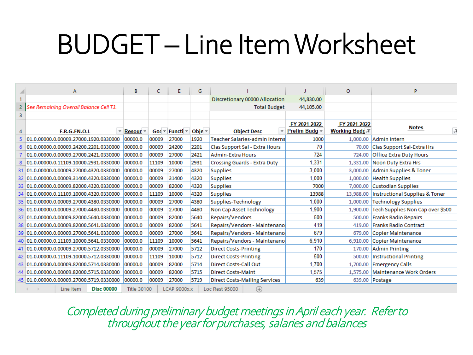## BUDGET – Line Item Worksheet

|    | А                                        | В                  | C     | E                                                          | G                             |                                                |               | $\circ$             | P                                |
|----|------------------------------------------|--------------------|-------|------------------------------------------------------------|-------------------------------|------------------------------------------------|---------------|---------------------|----------------------------------|
|    |                                          |                    |       |                                                            |                               | Discretionary 00000 Allocation                 | 44,830.00     |                     |                                  |
| 2  | See Remaining Overall Balance Cell T3.   |                    |       |                                                            |                               | <b>Total Budget</b>                            | 44,105.00     |                     |                                  |
| 3  |                                          |                    |       |                                                            |                               |                                                |               |                     |                                  |
|    |                                          |                    |       |                                                            |                               |                                                | FY 2021-2022  | FY 2021-2022        |                                  |
| 4  | F.R.G.FN.O.L<br>$\overline{\mathbf{v}}$  | Resour $\sim$      |       | Goa $\overline{\mathbf{v}}$ Functi $\overline{\mathbf{v}}$ | Obje $\overline{\phantom{a}}$ | $\overline{\phantom{a}}$<br><b>Object Desc</b> | Prelim Budg - | <b>Working Budc</b> | <b>Notes</b><br>Ļ.               |
|    | 5 01.0.00000.0.00009.27000.1920.0330000  | 00000.0            | 00009 | 27000                                                      | 1920                          | Teacher Salaries-admin interns                 | 1000          | 1,000.00            | Admin Intern                     |
|    | 6 01.0.00000.0.00009.24200.2201.0330000  | 00000.0            | 00009 | 24200                                                      | 2201                          | Clas Support Sal - Extra Hours                 | 70            | 70.00               | Clas Support Sal-Extra Hrs       |
|    | 01.0.00000.0.00009.27000.2421.0330000    | 00000.0            | 00009 | 27000                                                      | 2421                          | <b>Admin-Extra Hours</b>                       | 724           | 724.00              | <b>Office Extra Duty Hours</b>   |
|    | 8 01.0.00000.0.11109.10000.2931.0330000  | 00000.0            | 11109 | 10000                                                      | 2931                          | <b>Crossing Guards - Extra Duty</b>            | 1.331         | 1,331.00            | Noon Duty Extra Hrs              |
| 31 | 01.0.00000.0.00009.27000.4320.0330000    | 00000.0            | 00009 | 27000                                                      | 4320                          | <b>Supplies</b>                                | 3.000         | 3,000.00            | Admin Supplies & Toner           |
|    | 32 01.0.00000.0.00009.31400.4320.0330000 | 00000.0            | 00009 | 31400                                                      | 4320                          | <b>Supplies</b>                                | 1.000         | 1,000.00            | <b>Health Supplies</b>           |
|    | 33 01.0.00000.0.00009.82000.4320.0330000 | 00000.0            | 00009 | 82000                                                      | 4320                          | <b>Supplies</b>                                | 7000          | 7,000,00            | <b>Custodian Supplies</b>        |
|    | 34 01.0.00000.0.11109.10000.4320.0330000 | 00000.0            | 11109 | 10000                                                      | 4320                          | <b>Supplies</b>                                | 13988         | 13,988.00           | Instructional Supplies & Toner   |
|    | 35 01.0.00000.0.00009.27000.4380.0330000 | 00000.0            | 00009 | 27000                                                      | 4380                          | Supplies-Technology                            | 1.000         | 1,000.00            | <b>Technology Supplies</b>       |
|    | 36 01.0.00000.0.00009.27000.4480.0330000 | 00000.0            | 00009 | 27000                                                      | 4480                          | Non Cap Asset Technology                       | 1.900         | 1,900,00            | Tech Supplies Non Cap over \$500 |
|    | 37 01.0.00000.0.00009.82000.5640.0330000 | 00000.0            | 00009 | 82000                                                      | 5640                          | Repairs/Vendors                                | 500           | 500.00              | <b>Franks Radio Repairs</b>      |
|    | 38 01.0.00000.0.00009.82000.5641.0330000 | 00000.0            | 00009 | 82000                                                      | 5641                          | Repairs/Vendors - Maintenance                  | 419           | 419.00              | <b>Franks Radio Contract</b>     |
|    | 39 01.0.00000.0.00009.27000.5641.0330000 | 00000.0            | 00009 | 27000                                                      | 5641                          | Repairs/Vendors - Maintenance                  | 679           | 679.00              | Copier Maintenance               |
|    | 40 01.0.00000.0.11109.10000.5641.0330000 | 00000.0            | 11109 | 10000                                                      | 5641                          | Repairs/Vendors - Maintenance                  | 6.910         | 6.910.00            | Copier Maintenance               |
|    | 41 01.0.00000.0.00009.27000.5712.0330000 | 00000.0            | 00009 | 27000                                                      | 5712                          | <b>Direct Costs-Printing</b>                   | 170           | 170.00              | <b>Admin Printing</b>            |
|    | 42 01.0.00000.0.11109.10000.5712.0330000 | 00000.0            | 11109 | 10000                                                      | 5712                          | <b>Direct Costs-Printing</b>                   | 500           | 500.00              | <b>Instructional Printing</b>    |
|    | 43 01.0.00000.0.00009.82000.5714.0330000 | 00000.0            | 00009 | 82000                                                      | 5714                          | Direct Costs-Call Out                          | 1.700         | 1,700.00            | <b>Emergency Calls</b>           |
|    | 44 01.0.00000.0.00009.82000.5715.0330000 | 00000.0            | 00009 | 82000                                                      | 5715                          | <b>Direct Costs-Maint</b>                      | 1.575         | 1.575.00            | Maintenance Work Orders          |
|    | 45 01.0.00000.0.00009.27000.5719.0330000 | 00000.0            | 00009 | 27000                                                      | 5719                          | <b>Direct Costs-Mailing Services</b>           | 639           |                     | 639.00 Postage                   |
|    | <b>Disc 00000</b><br>Line Item           | <b>Title 30100</b> |       | <b>LCAP 9000x.x</b>                                        |                               | Loc Rest 95000<br>$\left( +\right)$            |               |                     |                                  |

Completed during preliminary budget meetings in April each year. Refer to throughout the year for purchases, salaries and balances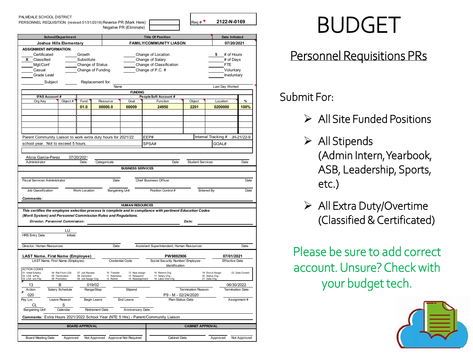| PALMDALE SCHOOL DISTRICT                                                                                                                               |                   |                       |                                                           |                          |                                                                                                            |                           |                                                                        |                                       |
|--------------------------------------------------------------------------------------------------------------------------------------------------------|-------------------|-----------------------|-----------------------------------------------------------|--------------------------|------------------------------------------------------------------------------------------------------------|---------------------------|------------------------------------------------------------------------|---------------------------------------|
| PERSONNEL REQUISITION (revised 01/31/2019) Reverse PR (Mark Here)                                                                                      |                   |                       |                                                           | Negative PR (Eliminate)  |                                                                                                            | $\text{Req} \#$           | 2122-N-0169                                                            |                                       |
|                                                                                                                                                        | School/Department |                       |                                                           |                          | <b>Title Of Position</b>                                                                                   |                           | Date Initiated                                                         |                                       |
| Joshua Hills Elementary                                                                                                                                |                   |                       |                                                           |                          | <b>FAMILY/COMMUNITY LIASON</b>                                                                             |                           | 07/20/2021                                                             |                                       |
| <b>ASSIGNMENT INFORMATION:</b><br>Certificated<br>x<br>Classified<br>Mgt/Conf<br>Casual<br>Grade Level<br>Subject                                      |                   | Growth<br>Substitute  | Change of Status<br>Change of Funding<br>Replacement for: |                          | Change of Location<br>Change of Salary<br>Change of Classification<br>Change of P.C. #                     |                           | # of Hours<br>5<br># of Days<br><b>FTE</b><br>Voluntary<br>Involuntary |                                       |
|                                                                                                                                                        |                   |                       | Name                                                      |                          |                                                                                                            |                           | Last Day Worked                                                        |                                       |
|                                                                                                                                                        |                   |                       |                                                           | <b>FUNDING</b>           |                                                                                                            |                           |                                                                        |                                       |
| <b>IFAS Account #</b><br>Org Key                                                                                                                       | Object #          | Fund                  | Resource                                                  | Goal                     | PeopleSoft Account #<br>Function                                                                           | Object                    | Location                                                               | %                                     |
|                                                                                                                                                        |                   | 01.0                  | 00000.0                                                   | 00009                    | 24950                                                                                                      | 2201                      | 0200000                                                                | 100%                                  |
|                                                                                                                                                        |                   |                       |                                                           |                          |                                                                                                            |                           |                                                                        |                                       |
|                                                                                                                                                        |                   |                       |                                                           |                          |                                                                                                            |                           |                                                                        |                                       |
|                                                                                                                                                        |                   |                       |                                                           |                          |                                                                                                            |                           |                                                                        |                                       |
|                                                                                                                                                        |                   |                       |                                                           |                          |                                                                                                            |                           |                                                                        |                                       |
|                                                                                                                                                        |                   |                       |                                                           |                          |                                                                                                            |                           |                                                                        |                                       |
| Parent Community Liaison to work extra duty hours for 2021/22                                                                                          |                   |                       |                                                           |                          | EEP#                                                                                                       |                           | Internal Tracking #                                                    | JH-21/22-9                            |
| school year. Not to exceed 5 hours                                                                                                                     |                   |                       |                                                           |                          | SPSA#                                                                                                      |                           | GOAL#                                                                  |                                       |
|                                                                                                                                                        |                   |                       |                                                           |                          |                                                                                                            |                           |                                                                        |                                       |
| Alicia Garcia-Perez                                                                                                                                    |                   | 07/20/2021            |                                                           |                          |                                                                                                            |                           |                                                                        |                                       |
| Administrator                                                                                                                                          |                   | Date                  | Categoricals                                              |                          | Date                                                                                                       | <b>Student Services</b>   |                                                                        | Date                                  |
|                                                                                                                                                        |                   |                       |                                                           | <b>BUSINESS SERVICES</b> |                                                                                                            |                           |                                                                        |                                       |
|                                                                                                                                                        |                   |                       |                                                           |                          |                                                                                                            |                           |                                                                        |                                       |
|                                                                                                                                                        |                   |                       |                                                           |                          |                                                                                                            |                           |                                                                        |                                       |
| <b>Fiscal Services Administrator</b>                                                                                                                   |                   |                       | Date                                                      |                          | Chief Business Officer                                                                                     |                           |                                                                        | Date                                  |
| Job Classification                                                                                                                                     |                   | <b>Work Location</b>  | <b>Bargaining Unit</b>                                    |                          | Position Control #                                                                                         |                           | <b>Entered By</b>                                                      | Date                                  |
|                                                                                                                                                        |                   |                       |                                                           |                          |                                                                                                            |                           |                                                                        |                                       |
| <b>Comments:</b>                                                                                                                                       |                   |                       |                                                           |                          |                                                                                                            |                           |                                                                        |                                       |
|                                                                                                                                                        |                   |                       |                                                           | <b>HUMAN RESOURCES</b>   |                                                                                                            |                           |                                                                        |                                       |
|                                                                                                                                                        |                   |                       |                                                           |                          | This certifies the employee selection process is complete and in compliance with pertinent Education Codes |                           |                                                                        |                                       |
| (Merit System) and Personnel Commission Rules and Regulations.                                                                                         |                   |                       |                                                           |                          |                                                                                                            |                           |                                                                        |                                       |
| Director, Personnel Commission:                                                                                                                        |                   |                       |                                                           |                          |                                                                                                            | Date:                     |                                                                        |                                       |
|                                                                                                                                                        |                   |                       |                                                           |                          |                                                                                                            |                           |                                                                        |                                       |
| <b>HRS Entry Date</b>                                                                                                                                  | LU                |                       |                                                           |                          |                                                                                                            |                           |                                                                        |                                       |
|                                                                                                                                                        |                   |                       |                                                           |                          |                                                                                                            |                           |                                                                        |                                       |
|                                                                                                                                                        | <b>Initials</b>   |                       |                                                           |                          |                                                                                                            |                           |                                                                        |                                       |
|                                                                                                                                                        |                   |                       |                                                           |                          |                                                                                                            |                           |                                                                        |                                       |
|                                                                                                                                                        |                   |                       | Date                                                      |                          | Assistant Superintendent, Human Resources                                                                  |                           |                                                                        | Date                                  |
|                                                                                                                                                        |                   |                       |                                                           |                          | PW9892906                                                                                                  |                           | 07/01/2021                                                             |                                       |
| LAST Name, First Name (Employee)                                                                                                                       |                   |                       |                                                           | <b>Credential Code</b>   | Social Security Number/ Employee                                                                           |                           | <b>Effective Date</b>                                                  |                                       |
|                                                                                                                                                        |                   |                       |                                                           |                          | Identification                                                                                             |                           |                                                                        |                                       |
|                                                                                                                                                        | 04 Ret From LOA   | 07 Job Reclass        | 10 Transfer                                               | 13 New Assign            | 16 Retmnt Cha                                                                                              |                           | 19 End of Assign                                                       | 22 Data Correct                       |
|                                                                                                                                                        | 05 Termination    | 08 Demotion           | 11 Reemploy<br>12 Rehire                                  | 14 Reappoint             | 17 Salary Chg                                                                                              |                           | 20 Status Chg                                                          |                                       |
|                                                                                                                                                        | 06 Promotion      | 09 Job Assign Chg     |                                                           | 15 Reassignmen           | 18 Labor Dist Cho                                                                                          |                           | 21 Data Cho                                                            |                                       |
| 13                                                                                                                                                     | R                 |                       | 019/02                                                    |                          |                                                                                                            | <b>Termination Reason</b> |                                                                        | 06/30/2022<br><b>Termination Date</b> |
| Action<br>020                                                                                                                                          | Salary Schedule   |                       | Range/Step                                                | Stipend                  | P9 - M - 02/24/2020                                                                                        |                           |                                                                        |                                       |
|                                                                                                                                                        | Leave Reason      |                       | Begin Leave                                               | End Leave                | Plan-Status-Date                                                                                           |                           |                                                                        | Assignment#                           |
| СL                                                                                                                                                     | S                 |                       |                                                           |                          |                                                                                                            |                           |                                                                        |                                       |
| <b>Bargaining Unit</b>                                                                                                                                 | Calendar          |                       | Retirement Date                                           | Anniversary Date         |                                                                                                            |                           |                                                                        |                                       |
|                                                                                                                                                        |                   |                       |                                                           |                          |                                                                                                            |                           |                                                                        |                                       |
|                                                                                                                                                        |                   |                       |                                                           |                          | Comments: Extra Hours 2021/2022 School Year (NTE 5 Hrs) - Parent/Community Liaison                         |                           |                                                                        |                                       |
|                                                                                                                                                        |                   | <b>BOARD APPROVAL</b> |                                                           |                          |                                                                                                            | <b>CABINET APPROVAL</b>   |                                                                        |                                       |
| Director, Human Resources<br>LAST Name, First Name (Employee)<br><b>ACTION CODES</b><br>01 Initial Employ<br>02 LOA w/Pay<br>03 LOA w/o Pay<br>Pay Loc |                   |                       |                                                           |                          |                                                                                                            |                           |                                                                        |                                       |

## BUDGET

#### Personnel Requisitions PRs

#### Submit For:

- $\triangleright$  All Site Funded Positions
- $\triangleright$  All Stipends (Admin Intern, Yearbook, ASB, Leadership, Sports, etc.)
- $\triangleright$  All Extra Duty/Overtime (Classified & Certificated)

Please be sure to add correct account. Unsure? Check with your budget tech.

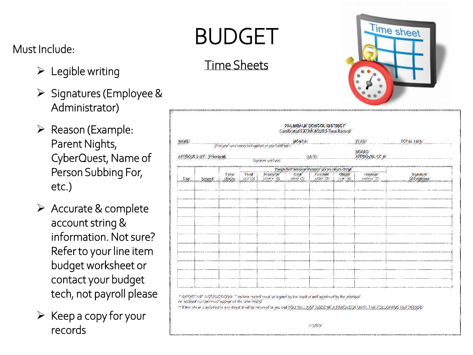#### Must Include:

- $\triangleright$  Legible writing
- $\triangleright$  Signatures (Employee & Administrator)
- $\triangleright$  Reason (Example: Parent Nights, CyberQuest, Name of Person Subbing For, etc.)
- $\triangleright$  Accurate & complete account string & information. Not sure? Refer to your line item budget worksheet or contact your budget tech, not payroll please
- $\triangleright$  Keep a copy for your records

## BUDGET

#### Time Sheets



| <b>NAME:</b> |                          |                  |                | (Print your name useray as it applars on your Craft are). | ронны.                  |                                                                       |                                | 外内容                     | TOTAL HRS:             |
|--------------|--------------------------|------------------|----------------|-----------------------------------------------------------|-------------------------|-----------------------------------------------------------------------|--------------------------------|-------------------------|------------------------|
|              | APPROVED BY: (Principal) |                  |                |                                                           |                         | DA-FEC                                                                |                                | BOARD<br>APPROVAL CE IE |                        |
|              |                          |                  |                | (Sigitature and Oute)                                     |                         |                                                                       |                                |                         |                        |
| Day          | School                   | Father"<br>House | Fund<br>88.833 | Researce.<br>XXXXXXXXXX                                   | Gost<br><b>AYYY (S)</b> | Poople Soft Account Number (Extra Hours Only)<br>Function<br>XXXX (5) | <b>Object</b><br>$7275^{+}(6)$ | Location<br>xxxxxxx (P) | Signature<br>CeEmpoyee |
|              |                          |                  |                |                                                           |                         |                                                                       |                                |                         |                        |
|              |                          |                  |                |                                                           |                         |                                                                       |                                |                         |                        |
|              |                          |                  |                |                                                           |                         |                                                                       |                                |                         |                        |
|              |                          |                  |                |                                                           |                         |                                                                       |                                |                         |                        |
|              |                          |                  |                |                                                           |                         |                                                                       |                                |                         |                        |
|              |                          |                  |                |                                                           |                         |                                                                       |                                |                         |                        |
|              |                          |                  |                |                                                           |                         |                                                                       |                                |                         |                        |
|              |                          |                  |                |                                                           |                         |                                                                       |                                |                         |                        |
|              |                          |                  |                |                                                           |                         |                                                                       |                                |                         |                        |
|              |                          |                  |                |                                                           |                         |                                                                       |                                |                         |                        |
|              |                          |                  |                |                                                           |                         |                                                                       |                                |                         |                        |
|              |                          |                  |                |                                                           |                         |                                                                       |                                |                         |                        |
|              |                          |                  |                |                                                           |                         |                                                                       |                                |                         |                        |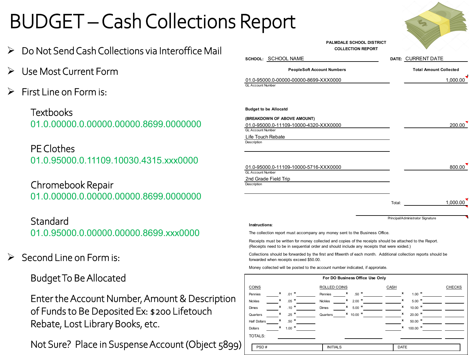## BUDGET –Cash Collections Report

- Do Not Send Cash Collections via Interoffice Mail
- Use Most Current Form
- First Line on Form is:

**Textbooks** 01.0.00000.0.00000.00000.8699.0000000

PE Clothes 01.0.95000.0.11109.10030.4315.xxx0000

Chromebook Repair 01.0.00000.0.00000.00000.8699.0000000

**Standard** 01.0.95000.0.00000.00000.8699.xxx0000

 $\triangleright$  Second Line on Form is:

Budget To Be Allocated

Enter the Account Number, Amount & Description of Funds to Be Deposited Ex: \$200 Lifetouch Rebate, Lost Library Books, etc.

Not Sure? Place in Suspense Account (Object 5899)

|                                                                                                                                                                                                          | <b>PALMDALE SCHOOL DISTRICT</b><br><b>COLLECTION REPORT</b> |        |                                   |
|----------------------------------------------------------------------------------------------------------------------------------------------------------------------------------------------------------|-------------------------------------------------------------|--------|-----------------------------------|
| SCHOOL: SCHOOL NAME                                                                                                                                                                                      |                                                             |        | DATE: CURRENT DATE                |
| <b>PeopleSoft Account Numbers</b>                                                                                                                                                                        |                                                             |        | <b>Total Amount Collected</b>     |
| 01.0-95000.0-00000-00000-8699-XXX0000<br><b>GL Account Number</b>                                                                                                                                        |                                                             |        | 1.000.00                          |
| <b>Budget to be Allocatd</b>                                                                                                                                                                             |                                                             |        |                                   |
| (BREAKDOWN OF ABOVE AMOUNT)                                                                                                                                                                              |                                                             |        |                                   |
| 01.0-95000.0-11109-10000-4320-XXX0000<br><b>GL Account Number</b>                                                                                                                                        |                                                             |        | 200.00                            |
| Life Touch Rebate<br>Description                                                                                                                                                                         |                                                             |        |                                   |
|                                                                                                                                                                                                          |                                                             |        |                                   |
| 01.0-95000.0-11109-10000-5716-XXX0000<br><b>GL Account Number</b>                                                                                                                                        |                                                             |        | 800.00                            |
| 2nd Grade Field Trip<br>Description                                                                                                                                                                      |                                                             |        |                                   |
|                                                                                                                                                                                                          |                                                             |        |                                   |
|                                                                                                                                                                                                          |                                                             | Total: | 1.000.00                          |
|                                                                                                                                                                                                          |                                                             |        | Principal/Administrator Signature |
| Instructions:                                                                                                                                                                                            |                                                             |        |                                   |
| The collection report must accompany any money sent to the Business Office.                                                                                                                              |                                                             |        |                                   |
| Receipts must be written for money collected and copies of the receipts should be attached to the Report.<br>(Receipts need to be in sequential order and should include any receipts that were voided.) |                                                             |        |                                   |
| Collections should be forwarded by the first and fifteenth of each month. Additional collection reports should be<br>forwarded when receipts exceed \$50.00.                                             |                                                             |        |                                   |
| Money collected will be posted to the account number indicated, if approriate.                                                                                                                           |                                                             |        |                                   |

|                     |                      | For DO Business Office Use Only |                 |               |
|---------------------|----------------------|---------------------------------|-----------------|---------------|
| <b>COINS</b>        |                      | ROLLED COINS                    | CASH            | <b>CHECKS</b> |
| Pennies             | x<br>$.01$ =         | x<br>$.50 =$<br>Pennies         | x<br>$1.00 =$   |               |
| <b>Nickles</b>      | x<br>$\equiv$<br>.05 | x<br>$2.00 =$<br>Nickles        | x<br>$5.00$ =   |               |
| Dimes               | x<br>$.10 =$         | x<br>$5.00$ =<br>Dimes          | x<br>$10.00$ =  |               |
| Quarters            | $.25 =$<br>x         | $10.00$ =<br>x<br>Quarters      | x<br>$20.00$ =  |               |
| <b>Half Dollars</b> | $.50 =$<br>x         |                                 | x<br>$50.00$ =  |               |
| Dollars             | $1.00 =$<br>x        |                                 | x<br>$100.00$ = |               |
| <b>TOTALS:</b>      |                      |                                 |                 |               |
| PSD#                |                      | <b>INITIALS</b>                 | <b>DATE</b>     |               |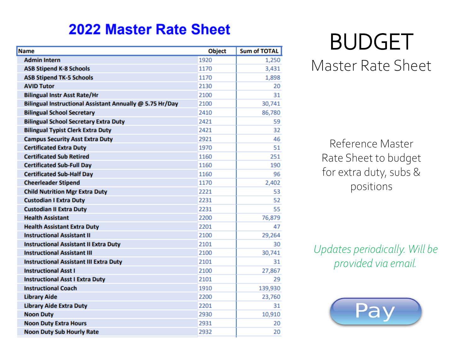#### **2022 Master Rate Sheet**

| <b>Admin Intern</b><br>1920<br><b>ASB Stipend K-8 Schools</b><br>1170<br><b>ASB Stipend TK-5 Schools</b><br>1170<br><b>AVID Tutor</b><br>2130<br><b>Bilingual Instr Asst Rate/Hr</b><br>2100<br>Bilingual Instructional Assistant Annually @ 5.75 Hr/Day<br>2100<br><b>Bilingual School Secretary</b><br>2410<br><b>Bilingual School Secretary Extra Duty</b><br>2421<br>2421<br><b>Bilingual Typist Clerk Extra Duty</b><br>2921<br><b>Campus Security Asst Extra Duty</b><br><b>Certificated Extra Duty</b><br>1970<br><b>Certificated Sub Retired</b><br>1160<br><b>Certificated Sub-Full Day</b><br>1160<br><b>Certificated Sub-Half Day</b><br>1160 | 1,250<br>3,431<br>1,898<br>20<br>31<br>30,741<br>86,780<br>59<br>32<br>46 |
|----------------------------------------------------------------------------------------------------------------------------------------------------------------------------------------------------------------------------------------------------------------------------------------------------------------------------------------------------------------------------------------------------------------------------------------------------------------------------------------------------------------------------------------------------------------------------------------------------------------------------------------------------------|---------------------------------------------------------------------------|
|                                                                                                                                                                                                                                                                                                                                                                                                                                                                                                                                                                                                                                                          |                                                                           |
|                                                                                                                                                                                                                                                                                                                                                                                                                                                                                                                                                                                                                                                          |                                                                           |
|                                                                                                                                                                                                                                                                                                                                                                                                                                                                                                                                                                                                                                                          |                                                                           |
|                                                                                                                                                                                                                                                                                                                                                                                                                                                                                                                                                                                                                                                          |                                                                           |
|                                                                                                                                                                                                                                                                                                                                                                                                                                                                                                                                                                                                                                                          |                                                                           |
|                                                                                                                                                                                                                                                                                                                                                                                                                                                                                                                                                                                                                                                          |                                                                           |
|                                                                                                                                                                                                                                                                                                                                                                                                                                                                                                                                                                                                                                                          |                                                                           |
|                                                                                                                                                                                                                                                                                                                                                                                                                                                                                                                                                                                                                                                          |                                                                           |
|                                                                                                                                                                                                                                                                                                                                                                                                                                                                                                                                                                                                                                                          |                                                                           |
|                                                                                                                                                                                                                                                                                                                                                                                                                                                                                                                                                                                                                                                          |                                                                           |
|                                                                                                                                                                                                                                                                                                                                                                                                                                                                                                                                                                                                                                                          | 51                                                                        |
|                                                                                                                                                                                                                                                                                                                                                                                                                                                                                                                                                                                                                                                          | 251                                                                       |
|                                                                                                                                                                                                                                                                                                                                                                                                                                                                                                                                                                                                                                                          | 190                                                                       |
|                                                                                                                                                                                                                                                                                                                                                                                                                                                                                                                                                                                                                                                          | 96                                                                        |
| <b>Cheerleader Stipend</b><br>1170                                                                                                                                                                                                                                                                                                                                                                                                                                                                                                                                                                                                                       | 2,402                                                                     |
| <b>Child Nutrition Mgr Extra Duty</b><br>2221                                                                                                                                                                                                                                                                                                                                                                                                                                                                                                                                                                                                            | 53                                                                        |
| <b>Custodian I Extra Duty</b><br>2231                                                                                                                                                                                                                                                                                                                                                                                                                                                                                                                                                                                                                    | 52                                                                        |
| <b>Custodian II Extra Duty</b><br>2231                                                                                                                                                                                                                                                                                                                                                                                                                                                                                                                                                                                                                   | 55                                                                        |
| <b>Health Assistant</b><br>2200                                                                                                                                                                                                                                                                                                                                                                                                                                                                                                                                                                                                                          | 76,879                                                                    |
| 2201<br><b>Health Assistant Extra Duty</b>                                                                                                                                                                                                                                                                                                                                                                                                                                                                                                                                                                                                               | 47                                                                        |
| <b>Instructional Assistant II</b><br>2100                                                                                                                                                                                                                                                                                                                                                                                                                                                                                                                                                                                                                | 29,264                                                                    |
| 2101<br><b>Instructional Assistant II Extra Duty</b>                                                                                                                                                                                                                                                                                                                                                                                                                                                                                                                                                                                                     | 30                                                                        |
| <b>Instructional Assistant III</b><br>2100                                                                                                                                                                                                                                                                                                                                                                                                                                                                                                                                                                                                               | 30,741                                                                    |
| <b>Instructional Assistant III Extra Duty</b><br>2101                                                                                                                                                                                                                                                                                                                                                                                                                                                                                                                                                                                                    | 31                                                                        |
| <b>Instructional Asst I</b><br>2100                                                                                                                                                                                                                                                                                                                                                                                                                                                                                                                                                                                                                      | 27,867                                                                    |
| 2101<br><b>Instructional Asst I Extra Duty</b>                                                                                                                                                                                                                                                                                                                                                                                                                                                                                                                                                                                                           | 29                                                                        |
| <b>Instructional Coach</b><br>1910                                                                                                                                                                                                                                                                                                                                                                                                                                                                                                                                                                                                                       | 139,930                                                                   |
| <b>Library Aide</b><br>2200                                                                                                                                                                                                                                                                                                                                                                                                                                                                                                                                                                                                                              | 23,760                                                                    |
| 2201<br><b>Library Aide Extra Duty</b>                                                                                                                                                                                                                                                                                                                                                                                                                                                                                                                                                                                                                   | 31                                                                        |
| <b>Noon Duty</b><br>2930                                                                                                                                                                                                                                                                                                                                                                                                                                                                                                                                                                                                                                 | 10,910                                                                    |
| <b>Noon Duty Extra Hours</b><br>2931                                                                                                                                                                                                                                                                                                                                                                                                                                                                                                                                                                                                                     | 20                                                                        |
| <b>Noon Duty Sub Hourly Rate</b><br>2932                                                                                                                                                                                                                                                                                                                                                                                                                                                                                                                                                                                                                 |                                                                           |

# BUDGET

#### Master Rate Sheet

Reference Master Rate Sheet to budget for extra duty, subs & positions

*Updates periodically. Will be provided via email.*

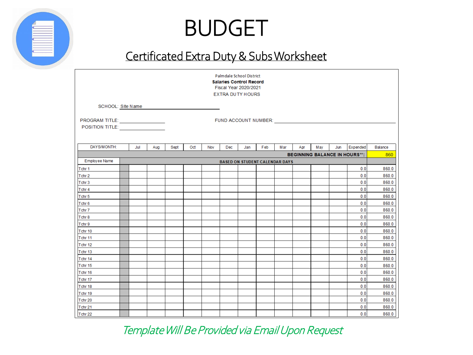## BUDGET

#### Certificated Extra Duty & Subs Worksheet

|                                                      |     |     |      |     |     | Palmdale School District<br><b>Salaries Control Record</b><br>Fiscal Year 2020/2021<br><b>EXTRA DUTY HOURS</b> |     |     |     |     |     |     |                                      |                |
|------------------------------------------------------|-----|-----|------|-----|-----|----------------------------------------------------------------------------------------------------------------|-----|-----|-----|-----|-----|-----|--------------------------------------|----------------|
| SCHOOL: Site Name                                    |     |     |      |     |     |                                                                                                                |     |     |     |     |     |     |                                      |                |
|                                                      |     |     |      |     |     |                                                                                                                |     |     |     |     |     |     |                                      |                |
| PROGRAM TITLE:<br>POSITION TITLE: __________________ |     |     |      |     |     | FUND ACCOUNT NUMBER: VICENT AND ACCOUNT                                                                        |     |     |     |     |     |     |                                      |                |
|                                                      |     |     |      |     |     |                                                                                                                |     |     |     |     |     |     |                                      |                |
|                                                      |     |     |      |     |     |                                                                                                                |     |     |     |     |     |     |                                      |                |
| DAYS/MONTH:                                          | Jul | Aug | Sept | Oct | Nov | Dec                                                                                                            | Jan | Feb | Mar | Apr | May | Jun | Expended                             | Balance        |
| Employee Name                                        |     |     |      |     |     | <b>BASED ON STUDENT CALENDAR DAYS</b>                                                                          |     |     |     |     |     |     | <b>BEGINNING BALANCE IN HOURS**:</b> | 860            |
| Tchr <sub>1</sub>                                    |     |     |      |     |     |                                                                                                                |     |     |     |     |     |     | 0.0                                  | 860.0          |
| Tchr <sub>2</sub>                                    |     |     |      |     |     |                                                                                                                |     |     |     |     |     |     | 0.0                                  | 860.0          |
| Tchr <sub>3</sub>                                    |     |     |      |     |     |                                                                                                                |     |     |     |     |     |     | 0.0                                  | 860.0          |
| Tchr 4                                               |     |     |      |     |     |                                                                                                                |     |     |     |     |     |     | 0.0                                  | 860.0          |
| Tchr <sub>5</sub>                                    |     |     |      |     |     |                                                                                                                |     |     |     |     |     |     | 0.0                                  | 860.0          |
| Tchr <sub>6</sub>                                    |     |     |      |     |     |                                                                                                                |     |     |     |     |     |     | 0.0                                  | 860.0          |
| Tchr <sub>7</sub>                                    |     |     |      |     |     |                                                                                                                |     |     |     |     |     |     | 0.0                                  | 860.0          |
| Tchr <sub>8</sub>                                    |     |     |      |     |     |                                                                                                                |     |     |     |     |     |     | 0.0                                  | 860.0          |
| Tchr 9                                               |     |     |      |     |     |                                                                                                                |     |     |     |     |     |     | 0.0                                  | 860.0          |
| Tchr 10                                              |     |     |      |     |     |                                                                                                                |     |     |     |     |     |     | 0.0                                  | 860.0          |
| Tchr 11                                              |     |     |      |     |     |                                                                                                                |     |     |     |     |     |     | 0.0                                  | 860.0          |
| Tchr 12                                              |     |     |      |     |     |                                                                                                                |     |     |     |     |     |     | 0.0                                  | 860.0          |
| Tchr 13                                              |     |     |      |     |     |                                                                                                                |     |     |     |     |     |     | 0.0                                  | 860.0          |
| Tchr 14                                              |     |     |      |     |     |                                                                                                                |     |     |     |     |     |     | 0.0                                  | 860.0          |
| Tchr 15                                              |     |     |      |     |     |                                                                                                                |     |     |     |     |     |     | 0.0                                  | 860.0          |
| Tchr 16                                              |     |     |      |     |     |                                                                                                                |     |     |     |     |     |     | 0.0                                  | 860.0          |
| Tchr 17                                              |     |     |      |     |     |                                                                                                                |     |     |     |     |     |     | 0.0                                  | 860.0          |
| Tchr 18                                              |     |     |      |     |     |                                                                                                                |     |     |     |     |     |     | 0.0                                  | 860.0          |
| Tchr 19                                              |     |     |      |     |     |                                                                                                                |     |     |     |     |     |     | 0.0<br>0.0                           | 860.0<br>860.0 |
| Tchr 20<br>Tchr 21                                   |     |     |      |     |     |                                                                                                                |     |     |     |     |     |     | 0.0                                  | 860.0          |
| Tchr 22                                              |     |     |      |     |     |                                                                                                                |     |     |     |     |     |     | 0.0                                  | 860.0          |

Template Will Be Provided via Email Upon Request